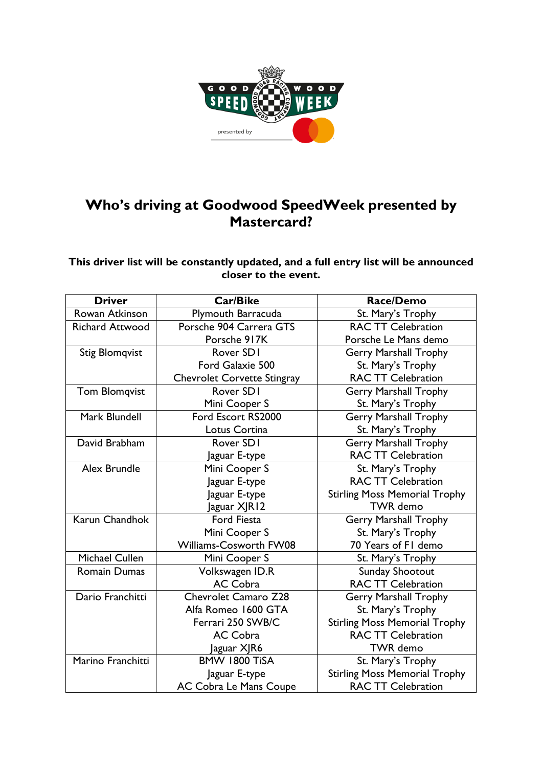

## **Who's driving at Goodwood SpeedWeek presented by Mastercard?**

**This driver list will be constantly updated, and a full entry list will be announced closer to the event.** 

| <b>Driver</b>          | <b>Car/Bike</b>             | Race/Demo                            |
|------------------------|-----------------------------|--------------------------------------|
| Rowan Atkinson         | Plymouth Barracuda          | St. Mary's Trophy                    |
| <b>Richard Attwood</b> | Porsche 904 Carrera GTS     | <b>RAC TT Celebration</b>            |
|                        | Porsche 917K                | Porsche Le Mans demo                 |
| <b>Stig Blomqvist</b>  | Rover SD1                   | <b>Gerry Marshall Trophy</b>         |
|                        | Ford Galaxie 500            | St. Mary's Trophy                    |
|                        | Chevrolet Corvette Stingray | <b>RAC TT Celebration</b>            |
| <b>Tom Blomqvist</b>   | Rover SD1                   | <b>Gerry Marshall Trophy</b>         |
|                        | Mini Cooper S               | St. Mary's Trophy                    |
| Mark Blundell          | Ford Escort RS2000          | Gerry Marshall Trophy                |
|                        | Lotus Cortina               | St. Mary's Trophy                    |
| David Brabham          | Rover SD1                   | <b>Gerry Marshall Trophy</b>         |
|                        | Jaguar E-type               | <b>RAC TT Celebration</b>            |
| Alex Brundle           | Mini Cooper S               | St. Mary's Trophy                    |
|                        | Jaguar E-type               | <b>RAC TT Celebration</b>            |
|                        | Jaguar E-type               | <b>Stirling Moss Memorial Trophy</b> |
|                        | aguar XJR12                 | <b>TWR</b> demo                      |
| Karun Chandhok         | <b>Ford Fiesta</b>          | <b>Gerry Marshall Trophy</b>         |
|                        | Mini Cooper S               | St. Mary's Trophy                    |
|                        | Williams-Cosworth FW08      | 70 Years of FI demo                  |
| <b>Michael Cullen</b>  | Mini Cooper S               | St. Mary's Trophy                    |
| <b>Romain Dumas</b>    | Volkswagen ID.R             | Sunday Shootout                      |
|                        | <b>AC Cobra</b>             | <b>RAC TT Celebration</b>            |
| Dario Franchitti       | <b>Chevrolet Camaro Z28</b> | <b>Gerry Marshall Trophy</b>         |
|                        | Alfa Romeo 1600 GTA         | St. Mary's Trophy                    |
|                        | Ferrari 250 SWB/C           | <b>Stirling Moss Memorial Trophy</b> |
|                        | <b>AC Cobra</b>             | <b>RAC TT Celebration</b>            |
|                        | aguar XJR6                  | <b>TWR</b> demo                      |
| Marino Franchitti      | BMW 1800 TiSA               | St. Mary's Trophy                    |
|                        | Jaguar E-type               | <b>Stirling Moss Memorial Trophy</b> |
|                        | AC Cobra Le Mans Coupe      | <b>RAC TT Celebration</b>            |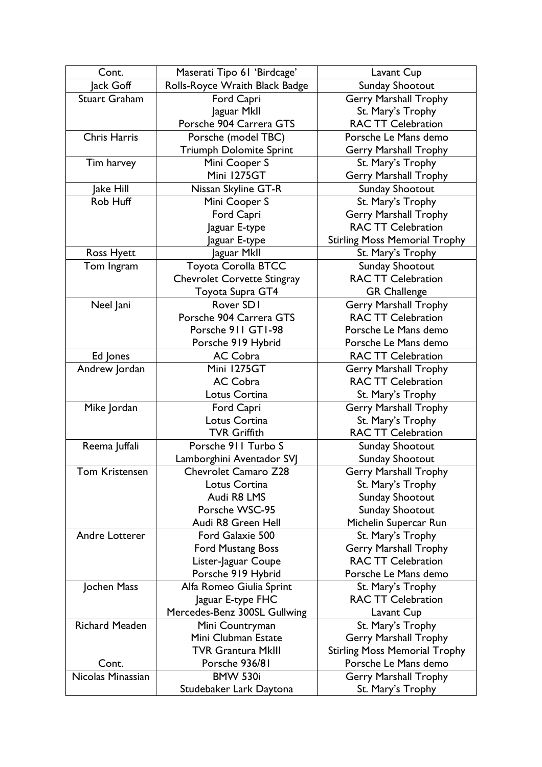| Cont.                 | Maserati Tipo 61 'Birdcage'                              | Lavant Cup                           |
|-----------------------|----------------------------------------------------------|--------------------------------------|
| Jack Goff             | Rolls-Royce Wraith Black Badge                           | Sunday Shootout                      |
| <b>Stuart Graham</b>  | Ford Capri                                               | <b>Gerry Marshall Trophy</b>         |
|                       | Jaguar MkII                                              | St. Mary's Trophy                    |
|                       | Porsche 904 Carrera GTS                                  | <b>RAC TT Celebration</b>            |
| <b>Chris Harris</b>   | Porsche (model TBC)                                      | Porsche Le Mans demo                 |
|                       | <b>Triumph Dolomite Sprint</b>                           | <b>Gerry Marshall Trophy</b>         |
| Tim harvey            | Mini Cooper S                                            | St. Mary's Trophy                    |
|                       | Mini 1275GT                                              | <b>Gerry Marshall Trophy</b>         |
| Jake Hill             | Nissan Skyline GT-R                                      | Sunday Shootout                      |
| Rob Huff              | Mini Cooper S                                            | St. Mary's Trophy                    |
|                       | Ford Capri                                               | <b>Gerry Marshall Trophy</b>         |
|                       | Jaguar E-type                                            | <b>RAC TT Celebration</b>            |
|                       | Jaguar E-type                                            | <b>Stirling Moss Memorial Trophy</b> |
| <b>Ross Hyett</b>     | Jaguar Mkll                                              | St. Mary's Trophy                    |
| Tom Ingram            | <b>Toyota Corolla BTCC</b>                               | Sunday Shootout                      |
|                       | Chevrolet Corvette Stingray                              | <b>RAC TT Celebration</b>            |
|                       | Toyota Supra GT4                                         | <b>GR Challenge</b>                  |
| Neel Jani             | Rover SD1                                                | <b>Gerry Marshall Trophy</b>         |
|                       | Porsche 904 Carrera GTS                                  | <b>RAC TT Celebration</b>            |
|                       | Porsche 911 GT1-98                                       | Porsche Le Mans demo                 |
|                       | Porsche 919 Hybrid                                       | Porsche Le Mans demo                 |
| Ed Jones              | AC Cobra                                                 | <b>RAC TT Celebration</b>            |
| Andrew Jordan         | Mini 1275GT                                              | Gerry Marshall Trophy                |
|                       | <b>AC Cobra</b>                                          | <b>RAC TT Celebration</b>            |
|                       | Lotus Cortina                                            | St. Mary's Trophy                    |
| Mike Jordan           | Ford Capri                                               | <b>Gerry Marshall Trophy</b>         |
|                       | Lotus Cortina                                            | St. Mary's Trophy                    |
|                       | <b>TVR Griffith</b>                                      | <b>RAC TT Celebration</b>            |
| Reema Juffali         | Porsche 911 Turbo S                                      | Sunday Shootout                      |
| <b>Tom Kristensen</b> | Lamborghini Aventador SVJ<br><b>Chevrolet Camaro Z28</b> | Sunday Shootout                      |
|                       | Lotus Cortina                                            | <b>Gerry Marshall Trophy</b>         |
|                       | Audi R8 LMS                                              | St. Mary's Trophy                    |
|                       | Porsche WSC-95                                           | Sunday Shootout<br>Sunday Shootout   |
|                       | Audi R8 Green Hell                                       | Michelin Supercar Run                |
| Andre Lotterer        | Ford Galaxie 500                                         | St. Mary's Trophy                    |
|                       | <b>Ford Mustang Boss</b>                                 | <b>Gerry Marshall Trophy</b>         |
|                       | Lister-Jaguar Coupe                                      | <b>RAC TT Celebration</b>            |
|                       | Porsche 919 Hybrid                                       | Porsche Le Mans demo                 |
| Jochen Mass           | Alfa Romeo Giulia Sprint                                 | St. Mary's Trophy                    |
|                       | Jaguar E-type FHC                                        | <b>RAC TT Celebration</b>            |
|                       | Mercedes-Benz 300SL Gullwing                             | Lavant Cup                           |
| Richard Meaden        | Mini Countryman                                          | St. Mary's Trophy                    |
|                       | Mini Clubman Estate                                      | <b>Gerry Marshall Trophy</b>         |
|                       | <b>TVR Grantura MkIII</b>                                | <b>Stirling Moss Memorial Trophy</b> |
| Cont.                 | Porsche 936/81                                           | Porsche Le Mans demo                 |
| Nicolas Minassian     | <b>BMW 530i</b>                                          | <b>Gerry Marshall Trophy</b>         |
|                       | Studebaker Lark Daytona                                  | St. Mary's Trophy                    |